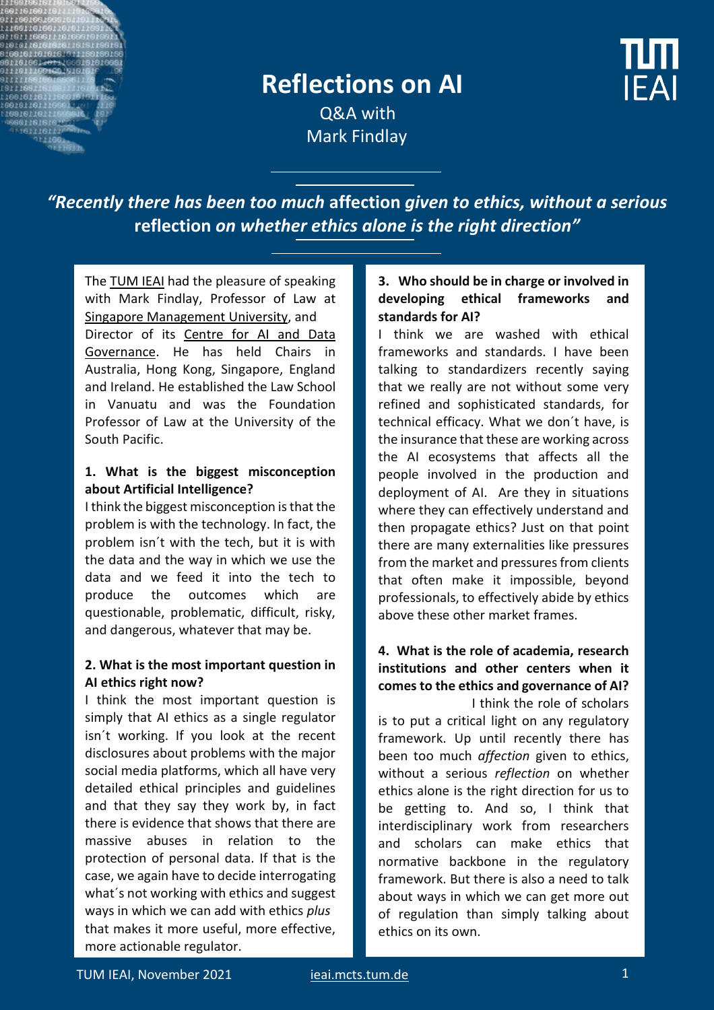

# **Reflections on AI**

**IFAI** 

 Q&A with Mark Findlay

*"Recently there has been too much* **affection** *given to ethics, without a serious*  **reflection** *on whether ethics alone is the right direction"*

Th[e TUM IEAI](https://ieai.mcts.tum.de/) had the pleasure of speaking with Mark Findlay, Professor of Law at [Singapore Management University,](https://www.smu.edu.sg/) and Director of its Centre for AI and Data [Governance.](https://caidg.smu.edu.sg/) He has held Chairs in Australia, Hong Kong, Singapore, England and Ireland. He established the Law School in Vanuatu and was the Foundation Professor of Law at the University of the South Pacific.

#### **1. What is the biggest misconception about Artificial Intelligence?**

I think the biggest misconception is that the problem is with the technology. In fact, the problem isn´t with the tech, but it is with the data and the way in which we use the data and we feed it into the tech to produce the outcomes which are questionable, problematic, difficult, risky, and dangerous, whatever that may be.

#### **2. What is the most important question in AI ethics right now?**

I think the most important question is simply that AI ethics as a single regulator isn´t working. If you look at the recent disclosures about problems with the major social media platforms, which all have very detailed ethical principles and guidelines and that they say they work by, in fact there is evidence that shows that there are massive abuses in relation to the protection of personal data. If that is the case, we again have to decide interrogating what´s not working with ethics and suggest ways in which we can add with ethics *plus* that makes it more useful, more effective, more actionable regulator.

### **3. Who should be in charge or involved in developing ethical frameworks and standards for AI?**

I think we are washed with ethical frameworks and standards. I have been talking to standardizers recently saying that we really are not without some very refined and sophisticated standards, for technical efficacy. What we don´t have, is the insurance that these are working across the AI ecosystems that affects all the people involved in the production and deployment of AI. Are they in situations where they can effectively understand and then propagate ethics? Just on that point there are many externalities like pressures from the market and pressures from clients that often make it impossible, beyond professionals, to effectively abide by ethics above these other market frames.

# **4. What is the role of academia, research institutions and other centers when it comes to the ethics and governance of AI?**

I think the role of scholars is to put a critical light on any regulatory framework. Up until recently there has been too much *affection* given to ethics, without a serious *reflection* on whether ethics alone is the right direction for us to be getting to. And so, I think that interdisciplinary work from researchers and scholars can make ethics that normative backbone in the regulatory framework. But there is also a need to talk about ways in which we can get more out of regulation than simply talking about ethics on its own.